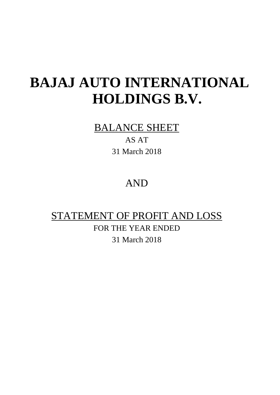# **BAJAJ AUTO INTERNATIONAL HOLDINGS B.V.**

## BALANCE SHEET

AS AT 31 March 2018

## AND

# STATEMENT OF PROFIT AND LOSS

FOR THE YEAR ENDED 31 March 2018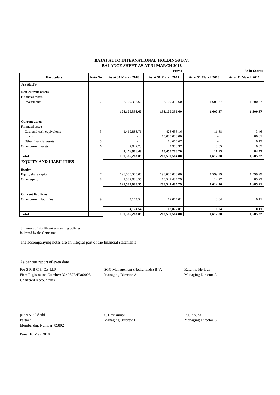#### **BAJAJ AUTO INTERNATIONAL HOLDINGS B.V. BALANCE SHEET AS AT 31 MARCH 2018**

|                               |                |                     | <b>Euros</b>        |                     | <b>Rs in Crores</b> |
|-------------------------------|----------------|---------------------|---------------------|---------------------|---------------------|
| <b>Particulars</b>            | Note No.       | As at 31 March 2018 | As at 31 March 2017 | As at 31 March 2018 | As at 31 March 2017 |
| <b>ASSETS</b>                 |                |                     |                     |                     |                     |
| <b>Non-current assets</b>     |                |                     |                     |                     |                     |
| <b>Financial</b> assets       |                |                     |                     |                     |                     |
| Investments                   | $\overline{2}$ | 198,109,356.60      | 198,109,356.60      | 1,600.87            | 1,600.87            |
|                               |                | 198,109,356.60      | 198,109,356.60      | 1,600.87            | 1,600.87            |
| <b>Current assets</b>         |                |                     |                     |                     |                     |
| <b>Financial</b> assets       |                |                     |                     |                     |                     |
| Cash and cash equivalents     | 3              | 1,469,883.76        | 428,633.16          | 11.88               | 3.46                |
| Loans                         | $\overline{4}$ |                     | 10,000,000.00       |                     | 80.81               |
| Other financial assets        | 5              |                     | 16,666.67           | $\overline{a}$      | 0.13                |
| Other current assets          | 6              | 7,022.73            | 4,908.37            | 0.05                | 0.05                |
|                               |                | 1,476,906.49        | 10,450,208.20       | 11.93               | 84.45               |
| <b>Total</b>                  |                | 199,586,263.09      | 208,559,564.80      | 1,612.80            | 1,685.32            |
| <b>EQUITY AND LIABILITIES</b> |                |                     |                     |                     |                     |
| <b>Equity</b>                 |                |                     |                     |                     |                     |
| Equity share capital          | 7              | 198,000,000.00      | 198,000,000.00      | 1,599.99            | 1,599.99            |
| Other equity                  | 8              | 1,582,088.55        | 10,547,487.79       | 12.77               | 85.22               |
|                               |                | 199,582,088.55      | 208,547,487.79      | 1,612.76            | 1,685.21            |
|                               |                |                     |                     |                     |                     |
| <b>Current liabilities</b>    |                |                     |                     |                     |                     |
| Other current liabilities     | 9              | 4,174.54            | 12,077.01           | 0.04                | 0.11                |
|                               |                |                     |                     |                     |                     |
|                               |                | 4,174.54            | 12,077.01           | 0.04                | 0.11                |
| <b>Total</b>                  |                | 199,586,263.09      | 208,559,564.80      | 1,612.80            | 1.685.32            |

 Summary of significant accounting policies followed by the Company 1

The accompanying notes are an integral part of the financial statements

As per our report of even date

For S R B C & Co LLP SGG Management (Netherlands) B.V. Katerina Hejlova Firm Registration Number: 324982E/E300003 Managing Director A Managing Director A Chartered Accountants

per Arvind Sethi S. Ravikumar S. Ravikumar R.J. Knunz Partner **Managing Director B** Managing Director B Managing Director B Managing Director B Membership Number: 89802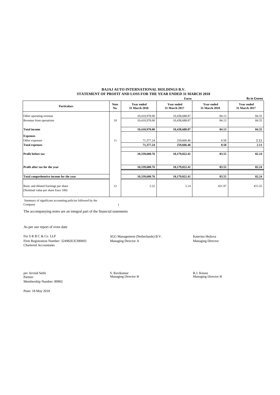#### **BAJAJ AUTO INTERNATIONAL HOLDINGS B.V. STATEMENT OF PROFIT AND LOSS FOR THE YEAR ENDED 31 MARCH 2018**

|                                                                            |                    |                             | <b>Euros</b>                       |                                    | <b>Rs in Crores</b>                |
|----------------------------------------------------------------------------|--------------------|-----------------------------|------------------------------------|------------------------------------|------------------------------------|
| <b>Particulars</b>                                                         | <b>Note</b><br>No. | Year ended<br>31 March 2018 | <b>Year ended</b><br>31 March 2017 | <b>Year ended</b><br>31 March 2018 | <b>Year ended</b><br>31 March 2017 |
| Other operating revenue                                                    |                    | 10,410,978.00               | 10,438,688.87                      | 84.13                              | 84.35                              |
| Revenue from operations                                                    | 10                 | 10,410,978.00               | 10,438,688.87                      | 84.13                              | 84.35                              |
| <b>Total income</b>                                                        |                    | 10,410,978.00               | 10,438,688.87                      | 84.13                              | 84.35                              |
| <b>Expenses</b>                                                            |                    |                             |                                    |                                    |                                    |
| Other expenses                                                             | 11                 | 71,377.24                   | 259,666.46                         | 0.58                               | 2.11                               |
| <b>Total expenses</b>                                                      |                    | 71,377.24                   | 259,666.46                         | 0.58                               | 2.11                               |
| <b>Profit before tax</b>                                                   |                    | 10,339,600.76               | 10,179,022.41                      | 83.55                              | 82.24                              |
| Profit after tax for the year                                              |                    | 10,339,600.76               | 10,179,022.41                      | 83.55                              | 82.24                              |
|                                                                            |                    |                             |                                    |                                    |                                    |
| Total comprehensive income for the year                                    |                    | 10,339,600.76               | 10,179,022.41                      | 83.55                              | 82.24                              |
| Basic and diluted Earnings per share<br>(Nominal value per share Euro 100) | 12                 | 5.22                        | 5.14                               | 421.97                             | 415.35                             |

 Summary of significant accounting policies followed by the Company 1

The accompanying notes are an integral part of the financial statements

As per our report of even date

For S R B C & Co LLP SGG Management (Netherlands) B.V. Katerina Hejlova Firm Registration Number: 324982E/E300003 Managing Director A Managing Director Chartered Accountants

per Arvind Sethi S. Ravikumar R.J. Knunz Partner Managing Director B Managing Director B Membership Number: 89802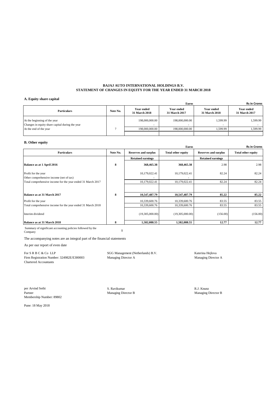#### **BAJAJ AUTO INTERNATIONAL HOLDINGS B.V. STATEMENT OF CHANGES IN EQUITY FOR THE YEAR ENDED 31 MARCH 2018**

#### **A. Equity share capital**

| Euros                                                                           |          |                                           |                             |                                    |                                    |  |  |
|---------------------------------------------------------------------------------|----------|-------------------------------------------|-----------------------------|------------------------------------|------------------------------------|--|--|
| <b>Particulars</b>                                                              | Note No. | <b>Year ended</b><br><b>31 March 2018</b> | Year ended<br>31 March 2017 | <b>Year ended</b><br>31 March 2018 | <b>Year ended</b><br>31 March 2017 |  |  |
| At the beginning of the year<br>Changes in equity share capital during the year |          | 198,000,000.00                            | 198,000,000.00<br>$\sim$    | 1,599.99                           | 1,599.99                           |  |  |
| At the end of the year                                                          |          | 198,000,000,00                            | 198,000,000.00              | 1.599.99                           | 1.599.99                           |  |  |
|                                                                                 |          |                                           |                             |                                    |                                    |  |  |

#### **B. Other equity**

|                                                                |          |                             | <b>Euros</b>              |                             | <b>Rs in Crores</b>       |
|----------------------------------------------------------------|----------|-----------------------------|---------------------------|-----------------------------|---------------------------|
| <b>Particulars</b>                                             | Note No. | <b>Reserves and surplus</b> | <b>Total other equity</b> | <b>Reserves and surplus</b> | <b>Total other equity</b> |
|                                                                |          | <b>Retained earnings</b>    |                           | <b>Retained earnings</b>    |                           |
| Balance as at 1 April 2016                                     | 8        | 368,465.38                  | 368,465.38                | 2.98                        | 2.98                      |
| Profit for the year<br>Other comprehensive income (net of tax) |          | 10,179,022.41               | 10,179,022.41             | 82.24                       | 82.24                     |
| Total comprehensive income for the year ended 31 March 2017    |          | 10,179,022.41               | 10,179,022.41             | 82.24                       | 82.24                     |
| Balance as at 31 March 2017                                    | 8        | 10,547,487.79               | 10,547,487.79             | 85.22                       | 85.22                     |
| Profit for the year                                            |          | 10,339,600.76               | 10,339,600.76             | 83.55                       | 83.55                     |
| Total comprehensive income for the year ended 31 March 2018    |          | 10,339,600.76               | 10,339,600.76             | 83.55                       | 83.55                     |
| Interim dividend                                               |          | (19,305,000.00)             | (19,305,000.00)           | (156.00)                    | (156.00)                  |
| Balance as at 31 March 2018                                    | 8        | 1,582,088.55                | 1,582,088.55              | 12.77                       | 12.77                     |

Summary of significant accounting policies followed by the Company **<sup>1</sup>**

The accompanying notes are an integral part of the financial statements

As per our report of even date

Firm Registration Number: 324982E/E300003 Managing Director A Managing Director A Chartered Accountants

For S R B C & Co LLP SGG Management (Netherlands) B.V. Katerina Hejlova Katerina Hejlova

Per Arvind Sethi Sethi S. Ravikumar S. Ravikumar S. Ravikumar S. Ravikumar R.J. Knunz R.J. Knunz Rattner S. Ravikumar R.J. Knunz Rattner S. Ravikumar R.J. Knunz Rattner S. Ravikumar R.J. Knunz Rattner S. Ravikumar R.J. Knu Partner Managing Director B Membership Number: 89802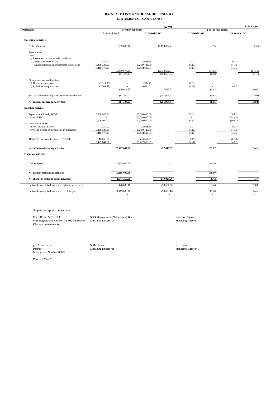#### **BAJAJ AUTO INTERNATIONAL HOLDINGS B.V. STATEMENT OF CASH FLOWS**

|                                                                         |                           |                    |                            | <b>EUROS</b>       |               |                    |               | <b>Rs in Crores</b> |
|-------------------------------------------------------------------------|---------------------------|--------------------|----------------------------|--------------------|---------------|--------------------|---------------|---------------------|
| <b>Particulars</b>                                                      |                           | For the year ended |                            |                    |               | For the year ended |               |                     |
|                                                                         | 31 March 2018             |                    | 31 March 2017              |                    | 31 March 2018 |                    | 31 March 2017 |                     |
| I. Operating activities                                                 |                           |                    |                            |                    |               |                    |               |                     |
| Profit before tax                                                       |                           | 10.339,600.76      |                            | 10.179.022.41      |               | 83.55              |               | 82.24               |
| Adjustments:<br>Less:                                                   |                           |                    |                            |                    |               |                    |               |                     |
| i) Investment income included in above:                                 |                           |                    |                            |                    |               |                    |               |                     |
| Interest income on Loan<br>Dividend income on investments in associates | 1.250.00<br>10,409,728.00 |                    | 28.958.34<br>10,409,728.00 |                    | 0.01<br>84.12 |                    | 0.23<br>84.12 |                     |
|                                                                         | 10,410,978.00             |                    | 10,438,686.34              |                    | 84.13         |                    | 84.35         |                     |
|                                                                         |                           | (10,410,978,00)    |                            | (10, 438, 686, 34) |               | (84.13)            |               | (84.35)             |
|                                                                         |                           | (71, 377, 24)      |                            | (259, 663.93)      |               | (0.58)             |               | (2.11)              |
| Change in assets and liabilities                                        |                           |                    |                            |                    |               |                    |               |                     |
| i) Other current assets                                                 | (2, 114.36)               |                    | (384.79)                   |                    | (0.02)        |                    |               |                     |
| ii) Liabilities and provisions                                          | (7,902.47)                |                    | 8,054.31                   |                    | (0.06)        |                    | 0.07          |                     |
|                                                                         |                           | (10,016.83)        |                            | 7,669.52           |               | (0.08)             |               | 0.07                |
| Net cash from operating activities before income-tax                    |                           | (81, 394.07)       |                            | (251,994.41)       |               | (0.65)             |               | (2.04)              |
| Net cash from operating activities                                      |                           | (81, 394.07)       |                            | (251,994.41)       |               | (0.65)             |               | (2.04)              |
| II. Investing activities                                                |                           |                    |                            |                    |               |                    |               |                     |
| i) Repayment of loan by KTM                                             | 10,000,000.00             |                    | 10,000,000.00              |                    | 80.81         |                    | 80.81         |                     |
| ii) Loan to KTM                                                         |                           |                    | (20,000,000.00)            |                    |               |                    | (161.62)      |                     |
| iii) Investment income                                                  | 10,000,000.00             |                    | (10,000,000.00)            |                    | 80.81         |                    | (80.81)       |                     |
| Interest income on Loan                                                 | 1,250.00                  |                    | 28,958.34                  |                    | 0.01          |                    | 0.23          |                     |
| Dividend income on investments in associates                            | 10,409,728.00             |                    | 10,409,728.00              |                    | 84.12         |                    | 84.12         |                     |
|                                                                         | 10,410,978.00             |                    | 10,438,686.34              |                    | 84.13         |                    | 84.35         |                     |
| (Increase) / decrease in interest receivable                            | 16,666.67                 |                    | (16,666.67)                |                    | 0.13          |                    | (0.13)        |                     |
|                                                                         | 10.427.644.67             |                    | 10,422,019.67              |                    | 84.26         |                    | 84.22         |                     |
| Net cash from investing activities                                      |                           | 20,427,644.67      |                            | 422.019.67         |               | 165.07             |               | 3.41                |
| III. Financing activities                                               |                           |                    |                            |                    |               |                    |               |                     |
|                                                                         |                           |                    |                            |                    |               |                    |               |                     |
| i) Dividend paid                                                        |                           | (19,305,000.00)    |                            |                    |               | (156.00)           |               |                     |
| Net cash from financing activities                                      |                           | (19,305,000.00)    |                            |                    |               | (156.00)           |               | $\blacksquare$      |
| Net change in cash and cash equivalents                                 |                           | 1,041,250.60       |                            | 170,025.26         |               | 8.42               |               | 1.37                |
| Cash and cash equivalents at the beginning of the year                  |                           | 428,633.16         |                            | 258,607.90         |               | 3.46               |               | 2.09                |
|                                                                         |                           | 1,469,883.76       |                            | 428,633.16         |               | 11.88              |               | 3.46                |
| Cash and cash equivalents at the end of the year                        |                           |                    |                            |                    |               |                    |               | $\mathbf{r}$        |

As per our report of even date

For S R B C & Co LLP SGG Management (Netherlands) B.V. Katerina Hejlova<br>Firm Registration Number: 324982E/E300003 Managing Director A<br>Chartered Accountants

Per Arvind Sethi S. Ravikumar S. Ravikumar S. Ravikumar R.J. Knunz Ratner R.J. Knunz Ratner R.J. Knunz Managing Director B Partner Managing Director B Managing Director B Membership Number: 89802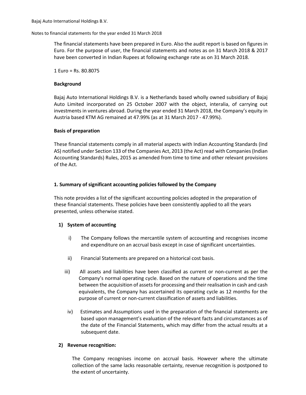### Notes to financial statements for the year ended 31 March 2018

The financial statements have been prepared in Euro. Also the audit report is based on figures in Euro. For the purpose of user, the financial statements and notes as on 31 March 2018 & 2017 have been converted in Indian Rupees at following exchange rate as on 31 March 2018.

1 Euro = Rs. 80.8075

### **Background**

Bajaj Auto International Holdings B.V. is a Netherlands based wholly owned subsidiary of Bajaj Auto Limited incorporated on 25 October 2007 with the object, interalia, of carrying out investments in ventures abroad. During the year ended 31 March 2018, the Company's equity in Austria based KTM AG remained at 47.99% (as at 31 March 2017 - 47.99%).

### **Basis of preparation**

These financial statements comply in all material aspects with Indian Accounting Standards (Ind AS) notified under Section 133 of the Companies Act, 2013 (the Act) read with Companies (Indian Accounting Standards) Rules, 2015 as amended from time to time and other relevant provisions of the Act.

### **1. Summary of significant accounting policies followed by the Company**

This note provides a list of the significant accounting policies adopted in the preparation of these financial statements. These policies have been consistently applied to all the years presented, unless otherwise stated.

### **1) System of accounting**

- i) The Company follows the mercantile system of accounting and recognises income and expenditure on an accrual basis except in case of significant uncertainties.
- ii) Financial Statements are prepared on a historical cost basis.
- iii) All assets and liabilities have been classified as current or non-current as per the Company's normal operating cycle. Based on the nature of operations and the time between the acquisition of assets for processing and their realisation in cash and cash equivalents, the Company has ascertained its operating cycle as 12 months for the purpose of current or non-current classification of assets and liabilities.
- iv) Estimates and Assumptions used in the preparation of the financial statements are based upon management's evaluation of the relevant facts and circumstances as of the date of the Financial Statements, which may differ from the actual results at a subsequent date.

### **2) Revenue recognition:**

The Company recognises income on accrual basis. However where the ultimate collection of the same lacks reasonable certainty, revenue recognition is postponed to the extent of uncertainty.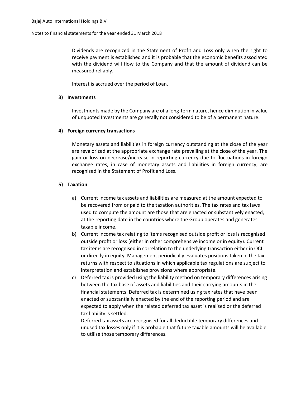#### Notes to financial statements for the year ended 31 March 2018

Dividends are recognized in the Statement of Profit and Loss only when the right to receive payment is established and it is probable that the economic benefits associated with the dividend will flow to the Company and that the amount of dividend can be measured reliably.

Interest is accrued over the period of Loan.

#### **3) Investments**

Investments made by the Company are of a long-term nature, hence diminution in value of unquoted Investments are generally not considered to be of a permanent nature.

#### **4) Foreign currency transactions**

Monetary assets and liabilities in foreign currency outstanding at the close of the year are revalorized at the appropriate exchange rate prevailing at the close of the year. The gain or loss on decrease/increase in reporting currency due to fluctuations in foreign exchange rates, in case of monetary assets and liabilities in foreign currency, are recognised in the Statement of Profit and Loss.

#### **5) Taxation**

- a) Current income tax assets and liabilities are measured at the amount expected to be recovered from or paid to the taxation authorities. The tax rates and tax laws used to compute the amount are those that are enacted or substantively enacted, at the reporting date in the countries where the Group operates and generates taxable income.
- b) Current income tax relating to items recognised outside profit or loss is recognised outside profit or loss (either in other comprehensive income or in equity). Current tax items are recognised in correlation to the underlying transaction either in OCI or directly in equity. Management periodically evaluates positions taken in the tax returns with respect to situations in which applicable tax regulations are subject to interpretation and establishes provisions where appropriate.
- c) Deferred tax is provided using the liability method on temporary differences arising between the tax base of assets and liabilities and their carrying amounts in the financial statements. Deferred tax is determined using tax rates that have been enacted or substantially enacted by the end of the reporting period and are expected to apply when the related deferred tax asset is realised or the deferred tax liability is settled.

Deferred tax assets are recognised for all deductible temporary differences and unused tax losses only if it is probable that future taxable amounts will be available to utilise those temporary differences.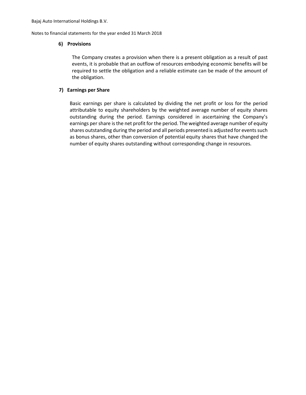Notes to financial statements for the year ended 31 March 2018

### **6) Provisions**

The Company creates a provision when there is a present obligation as a result of past events, it is probable that an outflow of resources embodying economic benefits will be required to settle the obligation and a reliable estimate can be made of the amount of the obligation.

### **7) Earnings per Share**

Basic earnings per share is calculated by dividing the net profit or loss for the period attributable to equity shareholders by the weighted average number of equity shares outstanding during the period. Earnings considered in ascertaining the Company's earnings per share is the net profit for the period. The weighted average number of equity shares outstanding during the period and all periods presented is adjusted for events such as bonus shares, other than conversion of potential equity shares that have changed the number of equity shares outstanding without corresponding change in resources.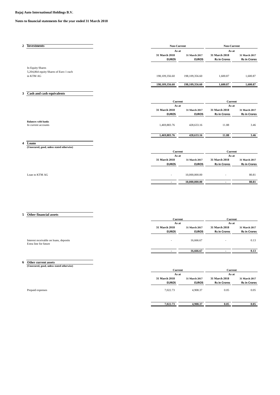#### **Notes to financial statements for the year ended 31 March 2018**

| $\mathbf{2}$            | <b>Investments</b>                                  | <b>Non-Current</b> |                                                                                                                                | Non-Current         |                     |
|-------------------------|-----------------------------------------------------|--------------------|--------------------------------------------------------------------------------------------------------------------------------|---------------------|---------------------|
|                         |                                                     | As at              | 31 March 2017<br><b>EUROS</b><br>198,109,356.60<br>198,109,356.60<br>31 March 2017<br><b>EUROS</b><br>428,633.16<br>428,633.16 | As at               |                     |
|                         |                                                     | 31 March 2018      |                                                                                                                                | 31 March 2018       | 31 March 2017       |
|                         |                                                     | <b>EUROS</b>       |                                                                                                                                | <b>Rs in Crores</b> | <b>Rs in Crores</b> |
|                         | <b>In Equity Shares</b>                             |                    |                                                                                                                                |                     |                     |
|                         | 5,204,864 equity Shares of Euro 1 each              |                    |                                                                                                                                |                     |                     |
|                         | in KTM AG                                           | 198,109,356.60     |                                                                                                                                | 1,600.87            | 1,600.87            |
|                         |                                                     | 198,109,356.60     |                                                                                                                                | 1,600.87            | 1,600.87            |
| 3                       | Cash and cash equivalents                           |                    |                                                                                                                                |                     |                     |
|                         |                                                     |                    | Current                                                                                                                        |                     | <b>Current</b>      |
|                         |                                                     | As at              |                                                                                                                                | As at               |                     |
|                         |                                                     | 31 March 2018      |                                                                                                                                | 31 March 2018       | 31 March 2017       |
|                         |                                                     | <b>EUROS</b>       |                                                                                                                                | <b>Rs in Crores</b> | <b>Rs in Crores</b> |
|                         | <b>Balances with banks</b>                          |                    |                                                                                                                                |                     |                     |
|                         | In current accounts                                 | 1,469,883.76       |                                                                                                                                | 11.88               | 3.46                |
|                         |                                                     | 1,469,883.76       |                                                                                                                                | 11.88               | 3.46                |
|                         |                                                     |                    |                                                                                                                                |                     |                     |
| $\overline{\mathbf{4}}$ | Loans<br>(Unsecured, good, unless stated otherwise) |                    |                                                                                                                                |                     |                     |
|                         |                                                     | Current            |                                                                                                                                | Current             |                     |
|                         |                                                     | As at              |                                                                                                                                | As at               |                     |
|                         |                                                     | 31 March 2018      | 31 March 2017                                                                                                                  | 31 March 2018       | 31 March 2017       |
|                         |                                                     | <b>EUROS</b>       | <b>EUROS</b>                                                                                                                   | <b>Rs in Crores</b> | <b>Rs in Crores</b> |
|                         | Loan to KTM AG                                      | ٠                  | 10,000,000.00                                                                                                                  |                     | 80.81               |

**5 Other financial assets**

|                                        |                          | Current       |                          | Current             |  |
|----------------------------------------|--------------------------|---------------|--------------------------|---------------------|--|
|                                        |                          | As at         |                          | As at               |  |
|                                        | 31 March 2018            | 31 March 2017 | 31 March 2018            | 31 March 2017       |  |
|                                        | <b>EUROS</b>             | <b>EUROS</b>  | <b>Rs in Crores</b>      | <b>Rs in Crores</b> |  |
|                                        |                          |               |                          |                     |  |
| Interest receivable on loans, deposits | $\overline{\phantom{a}}$ | 16,666.67     | $\overline{\phantom{a}}$ | 0.13                |  |
| Extra line for future                  |                          |               |                          |                     |  |
|                                        |                          |               |                          |                     |  |
|                                        |                          | 16,666.67     |                          | 0.13                |  |

**6 Other current assets (Unsecured, good, unless stated otherwise)**

|                  | Current       |               | Current             |                     |
|------------------|---------------|---------------|---------------------|---------------------|
|                  | As at         |               | As at               |                     |
|                  | 31 March 2018 | 31 March 2017 | 31 March 2018       | 31 March 2017       |
|                  | <b>EUROS</b>  | <b>EUROS</b>  | <b>Rs in Crores</b> | <b>Rs in Crores</b> |
| Prepaid expenses | 7,022.73      | 4,908.37      | 0.05                | 0.05                |
|                  | 7,022.73      | 4,908.37      | 0.05                | 0.05                |

 **- 10,000,000.00 - 80.81**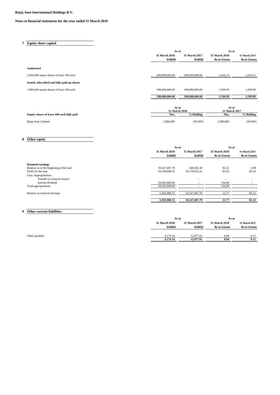#### **Notes to financial statements for the year ended 31 March 2018**

**7 Equity share capital**

|                                             | As at          |                | As at               |                     |
|---------------------------------------------|----------------|----------------|---------------------|---------------------|
|                                             | 31 March 2018  | 31 March 2017  | 31 March 2018       | 31 March 2017       |
|                                             | <b>EUROS</b>   | <b>EUROS</b>   | <b>Rs in Crores</b> | <b>Rs in Crores</b> |
|                                             |                |                |                     |                     |
| <b>Authorised</b>                           |                |                |                     |                     |
| 2,000,000 equity shares of Euro 100 each    | 200,000,000.00 | 200,000,000.00 | 1,616.15            | 1,616.15            |
| Issued, subscribed and fully paid-up shares |                |                |                     |                     |
| 1,980,000 equity shares of Euro 100 each    | 198,000,000.00 | 198,000,000.00 | 1,599.99            | 1,599.99            |
|                                             | 198,000,000.00 | 198,000,000.00 | 1,599.99            | 1,599.99            |
|                                             |                |                |                     |                     |
|                                             | As at          |                | As at               |                     |
|                                             | 31 March 2018  |                | 31 March 2017       |                     |
| Equity shares of Euro 100 each fully paid   | Nos.           | % Holding      | Nos.                | % Holding           |
| Bajaj Auto Limited                          | 1,980,000      | 100.00%        | 1,980,000           | 100.00%             |

### **8 Other equity**

|                                         | As at                    |                          | As at                    |                          |
|-----------------------------------------|--------------------------|--------------------------|--------------------------|--------------------------|
|                                         | 31 March 2018            | 31 March 2017            | 31 March 2018            | 31 March 2017            |
|                                         | <b>EUROS</b>             | <b>EUROS</b>             | <b>Rs in Crores</b>      | <b>Rs in Crores</b>      |
| <b>Retained earnings</b>                |                          |                          |                          |                          |
| Balance as at the beginning of the year | 10,547,487.79            | 368,465.38               | 85.22                    | 2.98                     |
| Profit for the year                     | 10,339,600.76            | 10,179,022.41            | 83.55                    | 82.24                    |
| Less: Appropriations                    |                          |                          |                          |                          |
| Transfer to General reserve             | $\overline{\phantom{0}}$ | $\overline{\phantom{0}}$ | $\overline{\phantom{0}}$ | $\overline{\phantom{0}}$ |
| Interim dividend                        | 19.305.000.00            | $\overline{\phantom{a}}$ | 156.00                   |                          |
| Total appropriations                    | 19,305,000.00            |                          | 156.00                   |                          |
| Balance in retained earnings            | 1,582,088.55             | 10,547,487.79            | 12.77                    | 85.22                    |
|                                         | 1,582,088.55             | 10.547.487.79            | 12.77                    | 85.22                    |

### **9 Other current liabilities**

| As at         |               | As at               |                     |
|---------------|---------------|---------------------|---------------------|
| 31 March 2018 | 31 March 2017 | 31 March 2018       | 31 March 2017       |
| <b>EUROS</b>  | <b>EUROS</b>  | <b>Rs in Crores</b> | <b>Rs in Crores</b> |
| 4,174.54      | 12,077.01     | 0.04                | 0.11                |
| 4,174.54      | 12,077.01     | 0.04                | 0.11                |
|               |               |                     |                     |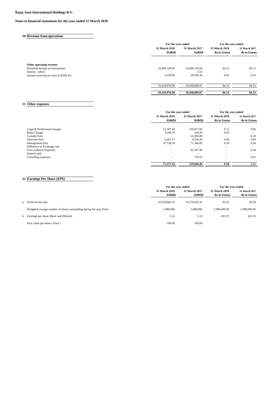**10 Revenue from operations**

#### **Notes to financial statements for the year ended 31 March 2018**

|                                     | For the year ended |               | For the year ended  |                     |
|-------------------------------------|--------------------|---------------|---------------------|---------------------|
|                                     | 31 March 2018      | 31 March 2017 | 31 March 2018       | 31 March 2017       |
|                                     | <b>EUROS</b>       | <b>EUROS</b>  | <b>Rs in Crores</b> | <b>Rs in Crores</b> |
| Other operating revenue             |                    |               |                     |                     |
| Dividend income on investments      | 10,409,728.00      | 10,409,728.00 | 84.12               | 84.12               |
| Interest - others                   | ۰                  | 2.53          | . .                 | $\sim$              |
| Interest received on Loan to KTM AG | 1,250.00           | 28,958.34     | 0.01                | 0.23                |
|                                     | 10,410,978.00      | 10,438,688.87 | 84.13               | 84.35               |
|                                     | 10,410,978.00      | 10,438,688.87 | 84.13               | 84.35               |

### **11 Other expenses**

|                              | For the year ended       |                          | For the year ended       |                          |  |
|------------------------------|--------------------------|--------------------------|--------------------------|--------------------------|--|
|                              | <b>31 March 2018</b>     | 31 March 2017            | 31 March 2018            | 31 March 2017            |  |
|                              | <b>EUROS</b>             | <b>EUROS</b>             | <b>Rs in Crores</b>      | <b>Rs in Crores</b>      |  |
| Legal & Professional charges | 14,787.49                | 119,077.60               | 0.12                     | 0.96                     |  |
| <b>Bank Charges</b>          | 3,599.70                 | 418.29                   | 0.03                     | $\sim$                   |  |
| <b>Custody Fees</b>          | $\overline{\phantom{a}}$ | 22,000.00                | $\overline{\phantom{a}}$ | 0.18                     |  |
| Directors Fees               | 5.261.27                 | 4,556.44                 | 0.04                     | 0.04                     |  |
| Management Fees              | 47,728.78                | 71,346.85                | 0.39                     | 0.58                     |  |
| Difference in Exchange rate  | $\overline{\phantom{0}}$ | $\overline{\phantom{0}}$ | $\overline{\phantom{a}}$ | $\sim$                   |  |
| Extra ordinary Expenses      | $\overline{\phantom{0}}$ | 41.547.96                | $\overline{\phantom{a}}$ | 0.34                     |  |
| Interest paid                | $\overline{\phantom{0}}$ |                          | $\overline{\phantom{a}}$ | $\overline{\phantom{a}}$ |  |
| Travelling expenses          | $\overline{\phantom{0}}$ | 719.32                   | $\overline{\phantom{a}}$ | 0.01                     |  |
|                              | 71.377.24                | 259,666.46               | 0.58                     | 2.11                     |  |

### **12 Earnings Per Share (EPS)**

|                                                                     | For the year ended                   |                               | For the year ended                   |                                      |
|---------------------------------------------------------------------|--------------------------------------|-------------------------------|--------------------------------------|--------------------------------------|
|                                                                     | <b>31 March 2018</b><br><b>EUROS</b> | 31 March 2017<br><b>EUROS</b> | 31 March 2018<br><b>Rs in Crores</b> | 31 March 2017<br><b>Rs in Crores</b> |
| a. Profit for the year                                              | 10.339,600.76                        | 10.179.022.41                 | 83.55                                | 82.24                                |
| Weighted average number of shares outstanding during the year (Nos) | 1.980.000                            | 1.980,000                     | 1,980,000,00                         | 1,980,000.00                         |
| b. Earnings per share (Basic and Diluted)                           | 5.22                                 | 5.14                          | 421.97                               | 415.35                               |
| Face value per share (Euro)                                         | 100.00                               | 100.00                        |                                      |                                      |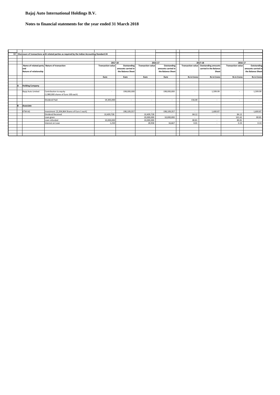### **Notes to financial statements for the year ended 31 March 2018**

| 13 |                        | Disclosure of transactions with related parties as required by the Indian Accounting Standard 24 |                          |                    |                          |                    |                          |                            |                          |                     |
|----|------------------------|--------------------------------------------------------------------------------------------------|--------------------------|--------------------|--------------------------|--------------------|--------------------------|----------------------------|--------------------------|---------------------|
|    |                        |                                                                                                  |                          |                    |                          |                    |                          |                            |                          |                     |
|    |                        |                                                                                                  |                          |                    |                          |                    |                          |                            |                          |                     |
|    |                        |                                                                                                  | 2017-18                  |                    | 2016-17                  |                    |                          | 2017-18                    | 2016-17                  |                     |
|    |                        | Name of related party Nature of transaction                                                      | <b>Transaction value</b> | Outstanding        | <b>Transaction value</b> | Outstanding        | <b>Transaction value</b> | <b>Outstanding amounts</b> | <b>Transaction value</b> | Outstanding         |
|    | land                   |                                                                                                  |                          | amounts carried in |                          | amounts carried in |                          | carried in the Balance     |                          | amounts carried in  |
|    | Nature of relationship |                                                                                                  |                          | the Balance Sheet  |                          | the Balance Sheet  |                          | Sheet                      |                          | the Balance Sheet   |
|    |                        |                                                                                                  |                          |                    |                          |                    |                          |                            |                          |                     |
|    |                        |                                                                                                  | Euro                     | Euro               | Euro                     | Euro               | <b>Rs in Crores</b>      | <b>Rs in Crores</b>        | <b>Rs in Crores</b>      | <b>Rs in Crores</b> |
|    |                        |                                                                                                  |                          |                    |                          |                    |                          |                            |                          |                     |
|    |                        |                                                                                                  |                          |                    |                          |                    |                          |                            |                          |                     |
|    | <b>Holding Company</b> |                                                                                                  |                          |                    |                          |                    |                          |                            |                          |                     |
|    |                        |                                                                                                  |                          |                    |                          |                    |                          |                            |                          |                     |
|    | Bajaj Auto Limited     | Contribution to equity                                                                           | ٠                        | 198,000,000        | $\sim$                   | 198,000,000        | $\overline{\phantom{a}}$ | 1,599.99                   | $\sim$                   | 1,599.99            |
|    |                        | (1,980,000 shares of Euro 100 each)                                                              |                          |                    |                          |                    |                          |                            |                          |                     |
|    |                        |                                                                                                  |                          |                    |                          |                    |                          |                            |                          |                     |
|    |                        | Dividend Paid                                                                                    | 19,305,000               | $\sim$             | $\sim$                   | $\sim$             | 156.00                   | $\sim$                     | ٠                        | $\sim$              |
|    |                        |                                                                                                  |                          |                    |                          |                    |                          |                            |                          |                     |
|    | Associate              |                                                                                                  |                          |                    |                          |                    |                          |                            |                          |                     |
|    |                        |                                                                                                  |                          |                    |                          |                    |                          |                            |                          |                     |
|    | KTM AG                 | Investment [5,204,864 Shares of Euro 1 each]                                                     | $\overline{\phantom{a}}$ | 198,109,357        | $\sim$                   | 198,109,357        | $\sim$                   | 1,600.87                   |                          | 1,600.87            |
|    |                        | Dividend Received                                                                                | 10,409,728               |                    | 10,409,728               | ٠                  | 84.12                    | $\sim$                     | 84.12                    |                     |
|    |                        | Loan given                                                                                       |                          |                    | 20,000,000               | 10,000,000         |                          |                            | 161.62                   | 80.81               |
|    |                        | Loan refunded                                                                                    | 10,000,000               |                    | 10,000,000               |                    | 80.81                    | $\sim$                     | 80.81                    |                     |
|    |                        | Interest on Loan                                                                                 | 1,250                    |                    | 28,958                   | 16,667             | 0.01                     | $\sim$                     | 0.23                     | 0.13                |
|    |                        |                                                                                                  |                          |                    |                          |                    |                          |                            |                          |                     |
|    |                        |                                                                                                  |                          |                    |                          |                    |                          |                            |                          |                     |
|    |                        |                                                                                                  |                          |                    |                          |                    |                          |                            |                          |                     |
|    |                        |                                                                                                  |                          |                    |                          |                    |                          |                            |                          |                     |
|    |                        |                                                                                                  |                          |                    |                          |                    |                          |                            |                          |                     |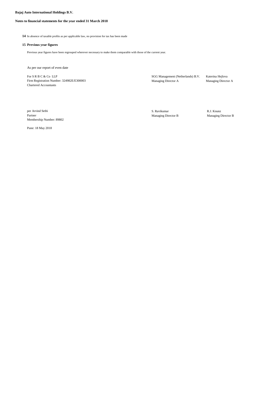### **Notes to financial statements for the year ended 31 March 2018**

**14** In absence of taxable profits as per applicable law, no provision for tax has been made

#### **15 Previous year figures**

Previous year figures have been regrouped wherever necessary to make them comparable with those of the current year.

As per our report of even date

For S R B C & Co LLP<br>Firm Registration Number: 324982E/E300003 SGG Management (Netherlands) B.V. Katerina Hejlova<br>Managing Director A Managing Director A Firm Registration Number: 324982E/E300003 Chartered Accountants

per Arvind Sethi **R. R. A. S. Ravikumar** S. Ravikumar **R. R. S. Ravikumar** R. R. Knunz<br>Partner Managing Director B Managing I Membership Number: 89802

Managing Director B Managing Director B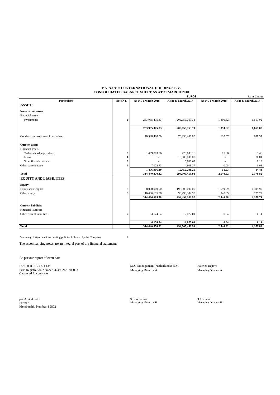#### **BAJAJ AUTO INTERNATIONAL HOLDINGS B.V. CONSOLIDATED BALANCE SHEET AS AT 31 MARCH 2018**

|                                      |                |                     | <b>EUROS</b>        |                     | <b>Rs</b> in Crores |
|--------------------------------------|----------------|---------------------|---------------------|---------------------|---------------------|
| Particulars                          | Note No.       | As at 31 March 2018 | As at 31 March 2017 | As at 31 March 2018 | As at 31 March 2017 |
| <b>ASSETS</b>                        |                |                     |                     |                     |                     |
| <b>Non-current assets</b>            |                |                     |                     |                     |                     |
| Financial assets                     |                |                     |                     |                     |                     |
| Investments                          | 2              | 233,965,475.83      | 205,056,763.71      | 1,890.62            | 1,657.02            |
|                                      |                | 233,965,475.83      | 205,056,763.71      | 1,890.62            | 1,657.02            |
|                                      |                |                     |                     |                     |                     |
| Goodwill on investment in associates |                | 78,998,488.00       | 78,998,488.00       | 638.37              | 638.37              |
| <b>Current assets</b>                |                |                     |                     |                     |                     |
| Financial assets                     |                |                     |                     |                     |                     |
| Cash and cash equivalents            | 3              | 1,469,883.76        | 428,633.16          | 11.88               | 3.46                |
| Loans                                | $\overline{4}$ |                     | 10,000,000.00       |                     | 80.81               |
| Other financial assets               | 5              |                     | 16,666.67           |                     | 0.13                |
| Other current assets                 | 6              | 7,022.73            | 4,908.37            | 0.05                | 0.03                |
|                                      |                | 1,476,906.49        | 10,450,208.20       | 11.93               | 84.43               |
| <b>Total</b>                         |                | 314,440,870.32      | 294,505,459.91      | 2,540.92            | 2,379.82            |
| <b>EQUITY AND LIABILITIES</b>        |                |                     |                     |                     |                     |
| <b>Equity</b>                        |                |                     |                     |                     |                     |
| Equity share capital                 | 7              | 198,000,000.00      | 198,000,000.00      | 1,599.99            | 1,599.99            |
| Other equity                         | 8              | 116,436,695.78      | 96,493,382.90       | 940.89              | 779.72              |
|                                      |                | 314,436,695.78      | 294,493,382.90      | 2,540.88            | 2,379.71            |
| <b>Current liabilities</b>           |                |                     |                     |                     |                     |
| <b>Financial liabilities</b>         |                |                     |                     |                     |                     |
| Other current liabilities            | 9              | 4,174.54            | 12,077.01           | 0.04                | 0.11                |
|                                      |                |                     |                     |                     |                     |
|                                      |                | 4,174.54            | 12,077.01           | 0.04                | 0.11                |
| <b>Total</b>                         |                | 314,440,870.32      | 294,505,459.91      | 2,540.92            | 2,379.82            |

Summary of significant accounting policies followed by the Company 1

The accompanying notes are an integral part of the financial statements

As per our report of even date

For S R B C & Co LLP<br>
Firm Registration Number: 324982E/E300003 SGG Management (Netherlands) B.V. Katerina Hejlova<br>
Managing Director A Managing Director A Managing Director A Firm Registration Number: 324982E/E300003 Managing Director A Managing Director A Chartered Accountants

per Arvind Sethi S. Ravikumar R.J. Knunz Partner Managing Director B Managing Director B per Arvind Sethi<br>Partner<br>Membership Number: 89802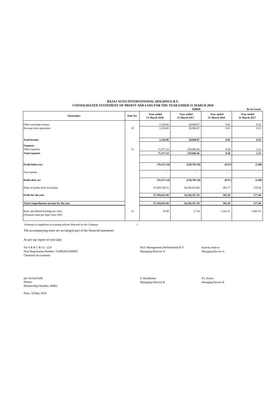#### **BAJAJ AUTO INTERNATIONAL HOLDINGS B.V. CONSOLIDATED STATEMENT OF PROFIT AND LOSS FOR THE YEAR ENDED 31 MARCH 2018**

|                                                                            |          |                             | <b>EUROS</b>                       |                                    | <b>Rs</b> in Crores                |
|----------------------------------------------------------------------------|----------|-----------------------------|------------------------------------|------------------------------------|------------------------------------|
| <b>Particulars</b>                                                         | Note No. | Year ended<br>31 March 2018 | <b>Year ended</b><br>31 March 2017 | <b>Year ended</b><br>31 March 2018 | <b>Year ended</b><br>31 March 2017 |
| Other operating revenue                                                    |          | 1,250.00                    | 28,960.87                          | 0.01                               | 0.23                               |
| Revenue from operations                                                    | 10       | 1,250.00                    | 28,960.87                          | 0.01                               | 0.23                               |
| <b>Total income</b>                                                        |          | 1,250.00                    | 28,960.87                          | 0.01                               | 0.23                               |
| <b>Expenses</b>                                                            |          |                             |                                    |                                    |                                    |
| Other expenses                                                             | 11       | 71,377.24                   | 259,666.46                         | 0.58                               | 2.11                               |
| <b>Total expenses</b>                                                      |          | 71,377.24                   | 259,666.46                         | 0.58                               | 2.11                               |
|                                                                            |          |                             |                                    |                                    |                                    |
| Profit before tax                                                          |          | (70, 127.24)                | (230, 705.59)                      | (0.57)                             | (1.88)                             |
| Tax expense                                                                |          | $\overline{\phantom{a}}$    | $\sim$                             | $\sim$                             | $\sim$                             |
| Profit after tax                                                           |          | (70, 127.24)                | (230,705.59)                       | (0.57)                             | (1.88)                             |
| Share of profits from Associates                                           |          | 37,839,769.22               | 34,560,872.88                      | 305.77                             | 279.28                             |
| Profit for the year                                                        |          | 37,769,641.98               | 34,330,167.29                      | 305.20                             | 277.40                             |
|                                                                            |          |                             |                                    |                                    |                                    |
| Total comprehensive income for the year                                    |          | 37,769,641.98               | 34,330,167.29                      | 305.20                             | 277.40                             |
| Basic and diluted Earnings per share<br>(Nominal value per share Euro 100) | 12       | 19.08                       | 17.34                              | 1,541.41                           | 1,401.01                           |

Summary of significant accounting policies followed by the Company 1

The accompanying notes are an integral part of the financial statements

As per our report of even date

For S R B C & Co LLP<br>
Firm Registration Number: 324982E/E300003<br>
Managing Director A Managing Director A Managing Director A Managing Director A Firm Registration Number: 324982E/E300003 Chartered Accountants

per Arvind Sethi **S. Ravikumar** R.J. Knunz R.J. Knunz R.J. Knunz R.J. Knunz R.J. Knunz R.J. Knunz Ramaging Director B Partner Managing Director B Managing Director B Membership Number: 89802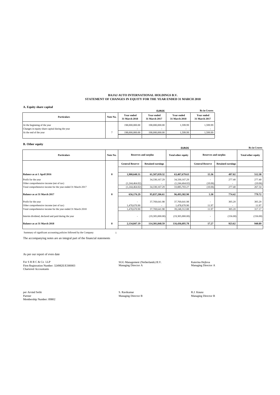#### **BAJAJ AUTO INTERNATIONAL HOLDINGS B.V. STATEMENT OF CHANGES IN EQUITY FOR THE YEAR ENDED 31 MARCH 2018**

#### **A. Equity share capital**

| А. едину маге сарпан                                                            |          |                                            | <b>EUROS</b>                |                                    | <b>Rs</b> in Crores         |
|---------------------------------------------------------------------------------|----------|--------------------------------------------|-----------------------------|------------------------------------|-----------------------------|
| <b>Particulars</b>                                                              | Note No. | Year ended<br>31 March 2018                | Year ended<br>31 March 2017 | Year ended<br><b>31 March 2018</b> | Year ended<br>31 March 2017 |
| At the beginning of the year<br>Changes in equity share capital during the year |          | 198,000,000,00<br>$\overline{\phantom{a}}$ | 198,000,000,00              | 1.599.99                           | 1,599.99                    |
| At the end of the year                                                          |          | 198,000,000,00                             | 198,000,000,00              | 1.599.99                           | 1,599.99                    |
|                                                                                 |          |                                            |                             |                                    |                             |

### **B. Other equity**

| <b>EUROS</b>                                                |          |                                                                                         |                          |                           |                        |                          | <b>Rs</b> in Crores |
|-------------------------------------------------------------|----------|-----------------------------------------------------------------------------------------|--------------------------|---------------------------|------------------------|--------------------------|---------------------|
| <b>Particulars</b>                                          | Note No. | <b>Reserves and surplus</b><br><b>Reserves and surplus</b><br><b>Total other equity</b> |                          | <b>Total other equity</b> |                        |                          |                     |
|                                                             |          | <b>General Reserve</b>                                                                  | <b>Retained earnings</b> |                           | <b>General Reserve</b> | <b>Retained earnings</b> |                     |
|                                                             |          |                                                                                         |                          |                           |                        |                          |                     |
| Balance as at 1 April 2016                                  | 8        | 1,900,640.31                                                                            | 61,507,039.32            | 63,407,679.63             | 15.36                  | 497.02                   | 512.38              |
| Profit for the year                                         |          |                                                                                         | 34,330,167.29            | 34,330,167.29             |                        | 277.40                   | 277.40              |
| Other comprehensive income (net of tax)                     |          | (1,244,464.02)                                                                          |                          | (1,244,464.02)            | (10.06)                |                          | (10.06)             |
| Total comprehensive income for the year ended 31 March 2017 |          | (1,244,464.02)                                                                          | 34,330,167.29            | 33,085,703.27             | (10.06)                | 277.40                   | 267.34              |
|                                                             |          |                                                                                         |                          |                           |                        |                          |                     |
| Balance as at 31 March 2017                                 | 8        | 656,176.29                                                                              | 95,837,206.61            | 96,493,382.90             | 5.30                   | 774.42                   | 779.72              |
| Profit for the year                                         |          |                                                                                         | 37,769,641.98            | 37,769,641.98             |                        | 305.20                   | 305.20              |
| Other comprehensive income (net of tax)                     |          | 1,478,670.90                                                                            |                          | 1,478,670.90              | 11.97                  |                          | 11.97               |
| Total comprehensive income for the year ended 31 March 2018 |          | 1,478,670.90                                                                            | 37,769,641.98            | 39,248,312.88             | 11.97                  | 305.20                   | 317.17              |
| Interim dividend, declared and paid during the year         |          | $\overline{\phantom{a}}$                                                                | (19,305,000.00)          | (19,305,000.00)           |                        | (156.00)                 | (156.00)            |
| Balance as at 31 March 2018                                 | 8        | 2,134,847.19                                                                            | 114.301.848.59           | 116,436,695.78            | 17.27                  | 923.62                   | 940.89              |
|                                                             |          |                                                                                         |                          |                           |                        |                          |                     |

Summary of significant accounting policies followed by the Company 1

The accompanying notes are an integral part of the financial statements

As per our report of even date

For S R B C & Co LLP<br>
SGG Management (Netherlands) B.V.<br>
Managing Director A Managing Director A Managing Director A Managing Director A Firm Registration Number: 324982E/E300003 Managing Director A Managing Director A Chartered Accountants

Per Arvind Sethi **S. Ravikumar** S. Ravikumar **S. Ravikumar** R.J. Knunz Rattner R.J. Knunz Partner R.J. Knunz Partner R Partner Managing Director B Managing Director B Membership Number: 89802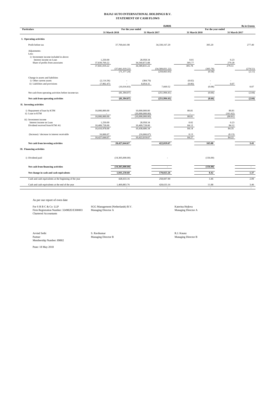#### **BAJAJ AUTO INTERNATIONAL HOLDINGS B.V. STATEMENT OF CASH FLOWS**

|                                                                                                                                 |                                            |                                   |                                                     | <b>EUROS</b>                       |                          |                    |                              | <b>Rs in Crores</b> |
|---------------------------------------------------------------------------------------------------------------------------------|--------------------------------------------|-----------------------------------|-----------------------------------------------------|------------------------------------|--------------------------|--------------------|------------------------------|---------------------|
| <b>Particulars</b>                                                                                                              |                                            | For the year ended                |                                                     |                                    |                          | For the year ended |                              |                     |
|                                                                                                                                 | 31 March 2018                              |                                   | 31 March 2017                                       |                                    | 31 March 2018            |                    | 31 March 2017                |                     |
| I. Operating activities                                                                                                         |                                            |                                   |                                                     |                                    |                          |                    |                              |                     |
| Profit before tax                                                                                                               |                                            | 37,769,641.98                     |                                                     | 34,330,167.29                      |                          | 305.20             |                              | 277.40              |
| Adjustments:<br>Less:<br>i) Investment income included in above:<br>Interest income on Loan<br>Share of profits from associates | 1,250.00<br>37,839,769.22<br>37,841,019.22 | (37, 841, 019.22)<br>(71, 377.24) | 28,958.34<br>34,560,872.88<br>34,589,831.22         | (34, 589, 831.22)<br>(259, 663.93) | 0.01<br>305.77<br>305.78 | (305.78)<br>(0.58) | 0.23<br>279.28<br>279.51     | (279.51)<br>(2.11)  |
| Change in assets and liabilities<br>i) Other current assets<br>ii) Liabilities and provisions                                   | (2, 114.36)<br>(7,902.47)                  | (10,016.83)                       | (384.79)<br>8,054.31                                | 7,669.52                           | (0.02)<br>(0.06)         | (0.08)             | 0.07                         | 0.07                |
| Net cash from operating activities before income-tax                                                                            |                                            | (81, 394.07)                      |                                                     | (251,994.41)                       |                          | (0.66)             |                              | (2.04)              |
| Net cash from operating activities                                                                                              |                                            | (81, 394.07)                      |                                                     | (251, 994.41)                      |                          | (0.66)             |                              | (2.04)              |
| II. Investing activities                                                                                                        |                                            |                                   |                                                     |                                    |                          |                    |                              |                     |
| i) Repayment of loan by KTM<br>ii) Loan to KTM                                                                                  | 10,000,000.00<br>10,000,000.00             |                                   | 10,000,000.00<br>(20,000,000.00)<br>(10,000,000.00) |                                    | 80.81<br>80.81           |                    | 80.81<br>(161.62)<br>(80.81) |                     |
| iii) Investment income<br>Interest income on Loan<br>Dividend received from KTM AG                                              | 1,250.00<br>10,409,728.00<br>10,410,978.00 |                                   | 28,958.34<br>10,409,728.00<br>10,438,686.34         |                                    | 0.02<br>84.12<br>84.14   |                    | 0.23<br>84.12<br>84.35       |                     |
| (Increase) / decrease in interest receivable                                                                                    | 16,666.67<br>10,427,644.67                 |                                   | (16, 666.67)<br>10,422,019.67                       |                                    | 0.13<br>84.27            |                    | (0.13)<br>84.22              |                     |
| Net cash from investing activities                                                                                              |                                            | 20,427,644.67                     |                                                     | 422,019.67                         |                          | 165.08             |                              | 3.41                |
| III. Financing activities                                                                                                       |                                            |                                   |                                                     |                                    |                          |                    |                              |                     |
| i) Dividend paid                                                                                                                |                                            | (19,305,000.00)                   |                                                     |                                    |                          | (156.00)           |                              |                     |
| Net cash from financing activities                                                                                              |                                            | (19,305,000.00)                   |                                                     | $\sim$                             |                          | (156.00)           |                              | $\sim$              |
| Net change in cash and cash equivalents                                                                                         |                                            | 1,041,250.60                      |                                                     | 170,025.26                         |                          | 8.42               |                              | 1.37                |
| Cash and cash equivalents at the beginning of the year                                                                          |                                            | 428,633.16                        |                                                     | 258,607.90                         |                          | 3.46               |                              | 2.09                |
| Cash and cash equivalents at the end of the year                                                                                |                                            | 1,469,883.76                      |                                                     | 428,633.16                         |                          | 11.88              |                              | 3.46                |
|                                                                                                                                 |                                            |                                   |                                                     |                                    |                          | ÷                  |                              | ×.                  |

As per our report of even date

For S R B C & Co LLP SGG Management (Netherlands) B.V. Katerina Hejlova Firm Registration Number: 324982E/E300003 Managing Director A Managing Director A Chartered Accountants

Arvind Sethi Sethi S. Ravikumar S. Ravikumar Raj<br/>L $\,$  R.J. Knunz Partner Rajar Rajar S. Ravikumar Rajar <br/>ethi Rajar Rajar Rajar S. Managing Director B Partner Managing Director B<br>Membership Number: 89802<br>Membership Number: 89802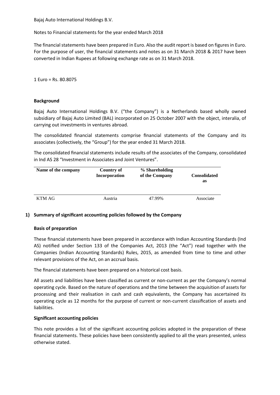Notes to Financial statements for the year ended March 2018

The financial statements have been prepared in Euro. Also the audit report is based on figures in Euro. For the purpose of user, the financial statements and notes as on 31 March 2018 & 2017 have been converted in Indian Rupees at following exchange rate as on 31 March 2018.

1 Euro = Rs. 80.8075

### **Background**

Bajaj Auto International Holdings B.V. ("the Company") is a Netherlands based wholly owned subsidiary of Bajaj Auto Limited (BAL) incorporated on 25 October 2007 with the object, interalia, of carrying out investments in ventures abroad.

The consolidated financial statements comprise financial statements of the Company and its associates (collectively, the "Group") for the year ended 31 March 2018.

The consolidated financial statements include results of the associates of the Company, consolidated in Ind AS 28 "Investment in Associates and Joint Ventures".

| Name of the company | Country of    | % Shareholding | <b>Consolidated</b> |
|---------------------|---------------|----------------|---------------------|
|                     | Incorporation | of the Company | as                  |
| KTM AG              | Austria       | 47.99%         | Associate           |

### **1) Summary of significant accounting policies followed by the Company**

### **Basis of preparation**

These financial statements have been prepared in accordance with Indian Accounting Standards (Ind AS) notified under Section 133 of the Companies Act, 2013 (the "Act") read together with the Companies (Indian Accounting Standards) Rules, 2015, as amended from time to time and other relevant provisions of the Act, on an accrual basis.

The financial statements have been prepared on a historical cost basis.

All assets and liabilities have been classified as current or non-current as per the Company's normal operating cycle. Based on the nature of operations and the time between the acquisition of assets for processing and their realisation in cash and cash equivalents, the Company has ascertained its operating cycle as 12 months for the purpose of current or non-current classification of assets and liabilities.

### **Significant accounting policies**

This note provides a list of the significant accounting policies adopted in the preparation of these financial statements. These policies have been consistently applied to all the years presented, unless otherwise stated.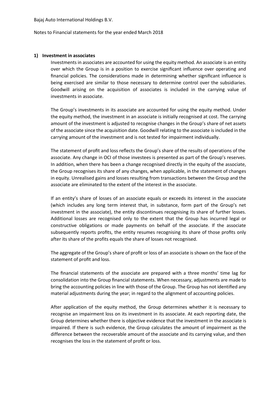Notes to Financial statements for the year ended March 2018

### **1) Investment in associates**

Investments in associates are accounted for using the equity method. An associate is an entity over which the Group is in a position to exercise significant influence over operating and financial policies. The considerations made in determining whether significant influence is being exercised are similar to those necessary to determine control over the subsidiaries. Goodwill arising on the acquisition of associates is included in the carrying value of investments in associate.

The Group's investments in its associate are accounted for using the equity method. Under the equity method, the investment in an associate is initially recognised at cost. The carrying amount of the investment is adjusted to recognise changes in the Group's share of net assets of the associate since the acquisition date. Goodwill relating to the associate is included in the carrying amount of the investment and is not tested for impairment individually.

The statement of profit and loss reflects the Group's share of the results of operations of the associate. Any change in OCI of those investees is presented as part of the Group's reserves. In addition, when there has been a change recognised directly in the equity of the associate, the Group recognises its share of any changes, when applicable, in the statement of changes in equity. Unrealised gains and losses resulting from transactions between the Group and the associate are eliminated to the extent of the interest in the associate.

If an entity's share of losses of an associate equals or exceeds its interest in the associate (which includes any long term interest that, in substance, form part of the Group's net investment in the associate), the entity discontinues recognising its share of further losses. Additional losses are recognised only to the extent that the Group has incurred legal or constructive obligations or made payments on behalf of the associate. If the associate subsequently reports profits, the entity resumes recognising its share of those profits only after its share of the profits equals the share of losses not recognised.

The aggregate of the Group's share of profit or loss of an associate is shown on the face of the statement of profit and loss.

The financial statements of the associate are prepared with a three months' time lag for consolidation into the Group financial statements. When necessary, adjustments are made to bring the accounting policies in line with those of the Group. The Group has not identified any material adjustments during the year; in regard to the alignment of accounting policies.

After application of the equity method, the Group determines whether it is necessary to recognise an impairment loss on its investment in its associate. At each reporting date, the Group determines whether there is objective evidence that the investment in the associate is impaired. If there is such evidence, the Group calculates the amount of impairment as the difference between the recoverable amount of the associate and its carrying value, and then recognises the loss in the statement of profit or loss.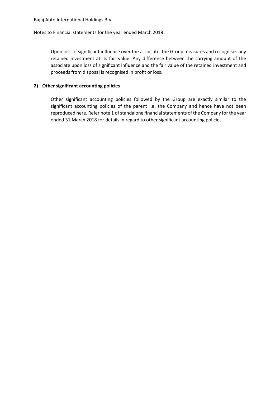### Notes to Financial statements for the year ended March 2018

Upon loss of significant influence over the associate, the Group measures and recognises any retained investment at its fair value. Any difference between the carrying amount of the associate upon loss of significant influence and the fair value of the retained investment and proceeds from disposal is recognised in profit or loss.

### **2) Other significant accounting policies**

Other significant accounting policies followed by the Group are exactly similar to the significant accounting policies of the parent i.e. the Company and hence have not been reproduced here. Refer note 1 of standalone financial statements of the Company for the year ended 31 March 2018 for details in regard to other significant accounting policies.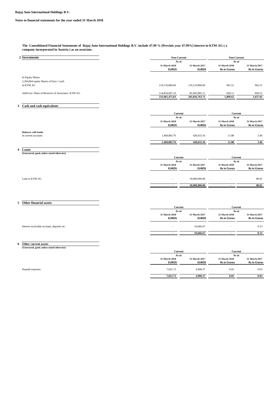#### **Notes to financial statements for the year ended 31 March 2018**

#### **The Consolidated Financial Statements of Bajaj Auto International Holdings B.V. include 47.99 % [Previois year 47.99%] interest in KTM AG ( a company incorporated in Austria ) as an associate.**

| 2 Investments                                                           | Non-Current                      |                                 | Non-Current                          |                                      |
|-------------------------------------------------------------------------|----------------------------------|---------------------------------|--------------------------------------|--------------------------------------|
|                                                                         | As at                            |                                 | As at                                |                                      |
|                                                                         | 31 March 2018<br><b>EUROS</b>    | 31 March 2017<br><b>EUROS</b>   | 31 March 2018<br><b>Rs in Crores</b> | 31 March 2017<br><b>Rs in Crores</b> |
| In Equity Shares                                                        |                                  |                                 |                                      |                                      |
| 5,204,864 equity Shares of Euro 1 each<br>in KTM AG                     | 119,110,868.60                   | 119,110,868.60                  | 962.51                               | 962.51                               |
| Add/Less: Share of Reserves of Associates- KTM AG                       | 114,854,607.23<br>233,965,475.83 | 85,945,895.11<br>205,056,763.71 | 928.11<br>1,890.62                   | 694.51<br>1,657.02                   |
|                                                                         |                                  |                                 |                                      |                                      |
| Cash and cash equivalents<br>3                                          |                                  |                                 |                                      |                                      |
|                                                                         | Current                          |                                 | Current                              |                                      |
|                                                                         | As at                            |                                 | As at                                |                                      |
|                                                                         | 31 March 2018                    | 31 March 2017                   | 31 March 2018                        | 31 March 2017                        |
|                                                                         | <b>EUROS</b>                     | <b>EUROS</b>                    | <b>Rs in Crores</b>                  | <b>Rs in Crores</b>                  |
| <b>Balances with banks</b><br>In current accounts                       | 1,469,883.76                     | 428,633.16                      | 11.88                                | 3.46                                 |
|                                                                         | 1,469,883.76                     | 428,633.16                      | 11.88                                | 3.46                                 |
| 4 Loans                                                                 |                                  |                                 |                                      |                                      |
| (Unsecured, good, unless stated otherwise)                              |                                  |                                 |                                      |                                      |
|                                                                         | Current                          |                                 | Current                              |                                      |
|                                                                         | As at<br>31 March 2018           | 31 March 2017                   | As at<br>31 March 2018               | 31 March 2017                        |
|                                                                         | <b>EUROS</b>                     | <b>EUROS</b>                    | <b>Rs in Crores</b>                  | <b>Rs in Crores</b>                  |
| Loan to KTM AG                                                          |                                  | 10,000,000.00                   |                                      | 80.81                                |
|                                                                         | $\blacksquare$                   | 10,000,000.00                   |                                      | 80.81                                |
|                                                                         |                                  |                                 |                                      |                                      |
| Other financial assets<br>5                                             | Current                          |                                 | Current                              |                                      |
|                                                                         | As at                            |                                 | As at                                |                                      |
|                                                                         | 31 March 2018<br><b>EUROS</b>    | 31 March 2017<br><b>EUROS</b>   | 31 March 2018<br><b>Rs in Crores</b> | 31 March 2017<br><b>Rs in Crores</b> |
| Interest receivable on loans, deposits etc.                             |                                  | 16,666.67                       |                                      | 0.13                                 |
|                                                                         |                                  | 16,666.67                       |                                      | 0.13                                 |
|                                                                         |                                  |                                 |                                      |                                      |
| 6<br>Other current assets<br>(Unsecured, good, unless stated otherwise) |                                  |                                 |                                      |                                      |
|                                                                         | Current                          |                                 | Current                              |                                      |
|                                                                         | As at<br>31 March 2018           | 31 March 2017                   | As at<br>31 March 2018               | 31 March 2017                        |

**31 March 2018 31 March 2017 31 March 2018 31 March 2017 EUROS EUROS Rs in Crores Rs in Crores** Prepaid expenses 6 10.03 10.03 10.03 10.03 10.03 10.03 10.03 10.03 10.03 10.03 10.03 10.03 10.03 10.03 10.03 10.03 10.03 10.03 10.03 10.03 10.03 10.03 10.03 10.03 10.03 10.03 10.03 10.03 10.03 10.03 10.03 10.03 10.03 10.03  $\overline{7,022.73}$   $\overline{4,908.37}$   $\overline{0.05}$   $\overline{0.03}$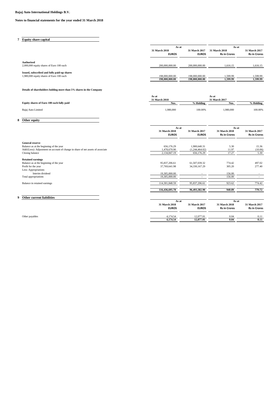#### **Notes to financial statements for the year ended 31 March 2018**

| <b>Equity share capital</b>                                                             |                                  |                                  |                                      |                                      |
|-----------------------------------------------------------------------------------------|----------------------------------|----------------------------------|--------------------------------------|--------------------------------------|
|                                                                                         | As at                            |                                  | As at                                |                                      |
|                                                                                         | 31 March 2018<br><b>EUROS</b>    | 31 March 2017<br><b>EUROS</b>    | 31 March 2018<br><b>Rs in Crores</b> | 31 March 2017<br><b>Rs in Crores</b> |
| Authorised<br>2,000,000 equity shares of Euro 100 each                                  | 200,000,000,00                   | 200,000,000,00                   | 1.616.15                             | 1,616.15                             |
| Issued, subscribed and fully paid-up shares<br>1,980,000 equity shares of Euro 100 each | 198,000,000,00<br>198,000,000.00 | 198,000,000.00<br>198,000,000.00 | 1.599.99<br>1,599.99                 | 1,599.99<br>1,599.99                 |

**Details of shareholders holding more than 5% shares in the Company**

|                                           | 31 March 2018 |           | 31 March 2017 |           |
|-------------------------------------------|---------------|-----------|---------------|-----------|
| Equity shares of Euro 100 each fully paid | Nos.          | % Holding | <b>Nos</b>    | h Holding |
| Bajaj Auto Limited                        | 1.980.000     | 100.00%   | .980.000      | 100.00%   |

**As at As at** 

 $\frac{4,174.54}{4,174.54}$   $\frac{12,077.01}{12,077.01}$   $\frac{0.04}{0.04}$   $\frac{0.11}{0.11}$ 

**8 Other equity**

|                                                                                 | As at                         |                               | As at                                |                                      |  |
|---------------------------------------------------------------------------------|-------------------------------|-------------------------------|--------------------------------------|--------------------------------------|--|
|                                                                                 | 31 March 2018<br><b>EUROS</b> | 31 March 2017<br><b>EUROS</b> | 31 March 2018<br><b>Rs in Crores</b> | 31 March 2017<br><b>Rs in Crores</b> |  |
| <b>General reserve</b>                                                          |                               |                               |                                      |                                      |  |
| Balance as at the beginning of the year                                         | 656,176.29                    | 1,900,640.31                  | 5.30                                 | 15.36                                |  |
| Add/(Less): Adjustment on account of change in share of net assets of associate | 1,478,670.90                  | (1,244,464.02)                | 11.97                                | (10.06)                              |  |
| Closing balance                                                                 | 2,134,847.19                  | 656,176.29                    | 17.27                                | 5.30                                 |  |
| <b>Retained earnings</b>                                                        |                               |                               |                                      |                                      |  |
| Balance as at the beginning of the year                                         | 95,837,206.61                 | 61.507.039.32                 | 774.42                               | 497.02                               |  |
| Profit for the year                                                             | 37,769,641.98                 | 34,330,167.29                 | 305.20                               | 277.40                               |  |
| Less: Appropriations                                                            |                               |                               |                                      |                                      |  |
| Interim dividend                                                                | 19,305,000.00                 |                               | 156.00                               |                                      |  |
| Total appropriations                                                            | 19,305,000.00                 | ٠                             | 156.00                               |                                      |  |
| Balance in retained earnings                                                    | 114,301,848.59                | 95,837,206.61                 | 923.62                               | 774.42                               |  |
|                                                                                 | 116,436,695.78                | 96,493,382.90                 | 940.89                               | 779.72                               |  |
| <b>Other current liabilities</b>                                                |                               |                               |                                      |                                      |  |
|                                                                                 |                               | As at                         |                                      | As at                                |  |
|                                                                                 | 31 March 2018<br><b>EUROS</b> | 31 March 2017<br><b>EUROS</b> | 31 March 2018<br><b>Rs in Crores</b> | 31 March 2017<br><b>Rs in Crores</b> |  |

Other payables 0.04 0.11 0.04 0.11 0.04 0.11 0.04 0.11 0.04 0.11 0.04 0.11 0.04 0.11 0.04 0.11 0.04 0.11 0.04 0.11 0.04 0.11 0.04 0.11 0.04 0.11 0.04 0.11 0.04 0.11 0.04 0.11 0.04 0.11 0.04 0.11 0.04 0.11 0.04 0.11 0.04 0.